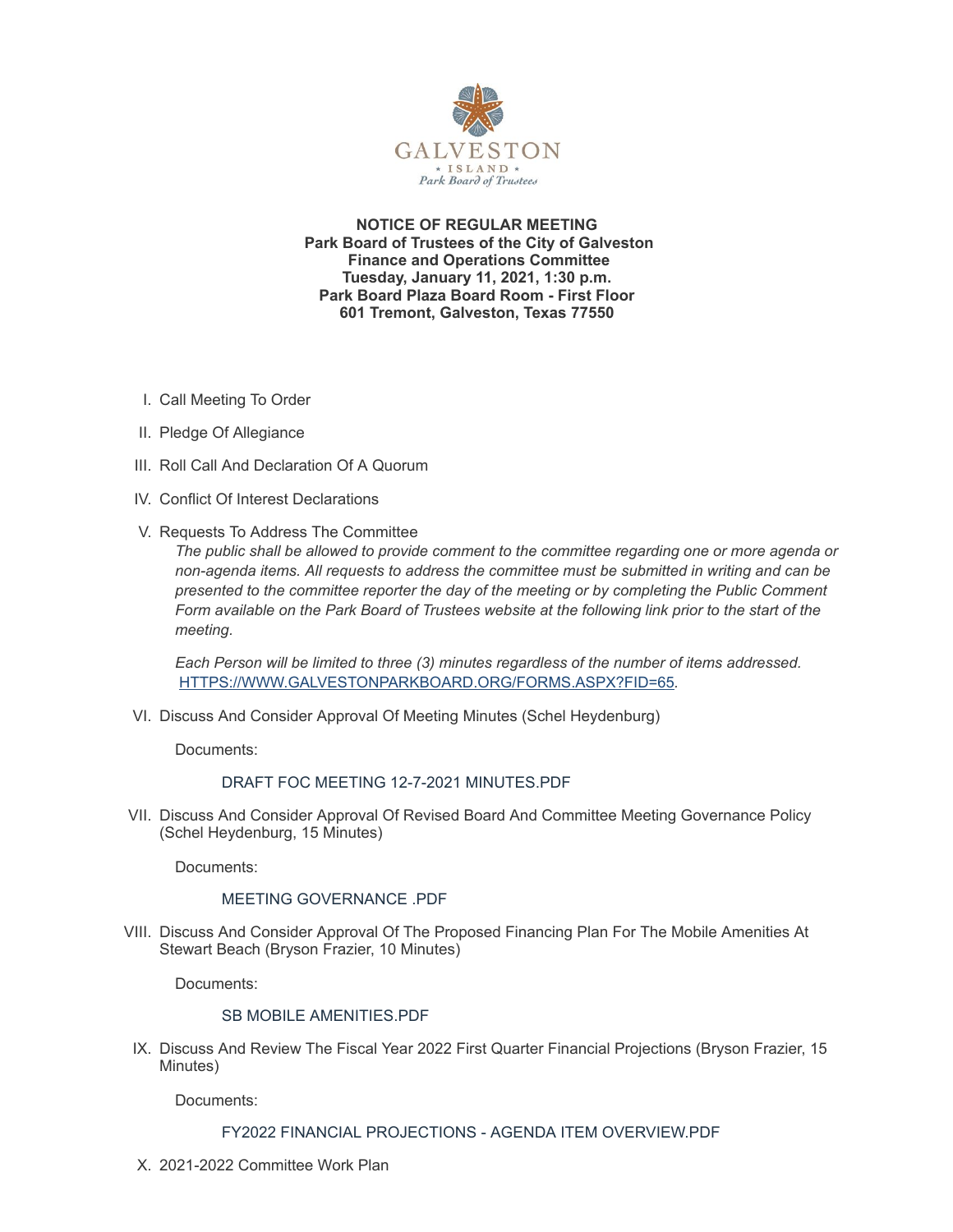

**NOTICE OF REGULAR MEETING Park Board of Trustees of the City of Galveston Finance and Operations Committee Tuesday, January 11, 2021, 1:30 p.m. Park Board Plaza Board Room - First Floor 601 Tremont, Galveston, Texas 77550**

- I. Call Meeting To Order
- II. Pledge Of Allegiance
- III. Roll Call And Declaration Of A Quorum
- IV. Conflict Of Interest Declarations
- V. Requests To Address The Committee

*The public shall be allowed to provide comment to the committee regarding one or more agenda or non-agenda items. All requests to address the committee must be submitted in writing and can be presented to the committee reporter the day of the meeting or by completing the Public Comment Form available on the Park Board of Trustees website at the following link prior to the start of the meeting.*

*Each Person will be limited to three (3) minutes regardless of the number of items addressed.* [HTTPS://WWW.GALVESTONPARKBOARD.ORG/FORMS.ASPX?FID=65](https://www.galvestonparkboard.org/forms.aspx?FID=65)*.*

VI. Discuss And Consider Approval Of Meeting Minutes (Schel Heydenburg)

Documents:

## DRAFT FOC MEETING 12-7-2021 [MINUTES.PDF](https://www.galvestonparkboard.org/AgendaCenter/ViewFile/Item/7173?fileID=10638)

VII. Discuss And Consider Approval Of Revised Board And Committee Meeting Governance Policy (Schel Heydenburg, 15 Minutes)

Documents:

## MEETING [GOVERNANCE](https://www.galvestonparkboard.org/AgendaCenter/ViewFile/Item/7165?fileID=10641) .PDF

VIII. Discuss And Consider Approval Of The Proposed Financing Plan For The Mobile Amenities At Stewart Beach (Bryson Frazier, 10 Minutes)

Documents:

#### SB MOBILE [AMENITIES.PDF](https://www.galvestonparkboard.org/AgendaCenter/ViewFile/Item/7166?fileID=10639)

IX. Discuss And Review The Fiscal Year 2022 First Quarter Financial Projections (Bryson Frazier, 15 Minutes)

Documents:

## FY2022 FINANCIAL PROJECTIONS - AGENDA ITEM [OVERVIEW.PDF](https://www.galvestonparkboard.org/AgendaCenter/ViewFile/Item/7167?fileID=10640)